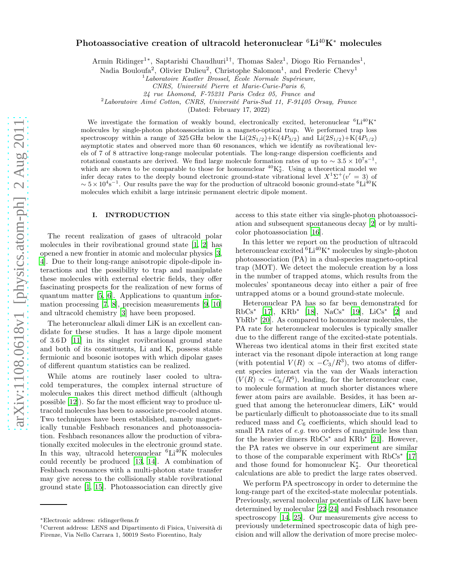# Photoassociative creation of ultracold heteronuclear  ${}^{6}Li{}^{40}K^{*}$  molecules

Armin Ridinger<sup>1\*</sup>, Saptarishi Chaudhuri<sup>1†</sup>, Thomas Salez<sup>1</sup>, Diogo Rio Fernandes<sup>1</sup>,

Nadia Bouloufa<sup>2</sup>, Olivier Dulieu<sup>2</sup>, Christophe Salomon<sup>1</sup>, and Frederic Chevy<sup>1</sup>

 ${}^{1}$ Laboratoire Kastler Brossel, École Normale Supérieure,

CNRS, Université Pierre et Marie-Curie-Paris 6,

24 rue Lhomond, F-75231 Paris Cedex 05, France and

 $2$ Laboratoire Aimé Cotton, CNRS, Université Paris-Sud 11, F-91405 Orsay, France

(Dated: February 17, 2022)

We investigate the formation of weakly bound, electronically excited, heteronuclear  ${}^{6}Li^{40}K^{*}$ molecules by single-photon photoassociation in a magneto-optical trap. We performed trap loss spectroscopy within a range of 325 GHz below the  $Li(2S_{1/2})+K(4P_{3/2})$  and  $Li(2S_{1/2})+K(4P_{1/2})$ asymptotic states and observed more than 60 resonances, which we identify as rovibrational levels of 7 of 8 attractive long-range molecular potentials. The long-range dispersion coefficients and rotational constants are derived. We find large molecule formation rates of up to  $\sim 3.5 \times 10^{7}$ s<sup>-1</sup>, which are shown to be comparable to those for homonuclear  ${}^{40}K_2^*$ . Using a theoretical model we infer decay rates to the deeply bound electronic ground-state vibrational level  $X^1\Sigma^+(v'=3)$  of  $\sim 5 \times 10^4$ s<sup>-1</sup>. Our results pave the way for the production of ultracold bosonic ground-state <sup>6</sup>Li<sup>40</sup>K molecules which exhibit a large intrinsic permanent electric dipole moment.

### I. INTRODUCTION

The recent realization of gases of ultracold polar molecules in their rovibrational ground state [\[1,](#page-5-0) [2\]](#page-5-1) has opened a new frontier in atomic and molecular physics [\[3](#page-5-2), [4](#page-5-3)]. Due to their long-range anisotropic dipole-dipole interactions and the possibility to trap and manipulate these molecules with external electric fields, they offer fascinating prospects for the realization of new forms of quantum matter [\[5,](#page-5-4) [6\]](#page-5-5). Applications to quantum information processing [\[7](#page-5-6), [8\]](#page-5-7), precision measurements [\[9,](#page-5-8) [10](#page-5-9)] and ultracold chemistry [\[3\]](#page-5-2) have been proposed.

The heteronuclear alkali dimer LiK is an excellent candidate for these studies. It has a large dipole moment of 3.6 D [\[11](#page-5-10)] in its singlet rovibrational ground state and both of its constituents, Li and K, possess stable fermionic and bosonic isotopes with which dipolar gases of different quantum statistics can be realized.

While atoms are routinely laser cooled to ultracold temperatures, the complex internal structure of molecules makes this direct method difficult (although possible [\[12](#page-5-11)]). So far the most efficient way to produce ultracold molecules has been to associate pre-cooled atoms. Two techniques have been established, namely magnetically tunable Feshbach resonances and photoassociation. Feshbach resonances allow the production of vibrationally excited molecules in the electronic ground state. In this way, ultracold heteronuclear  ${}^{6}Li^{40}K$  molecules could recently be produced [\[13,](#page-5-12) [14\]](#page-5-13). A combination of Feshbach resonances with a multi-photon state transfer may give access to the collisionally stable rovibrational ground state [\[1,](#page-5-0) [15\]](#page-5-14). Photoassociation can directly give

access to this state either via single-photon photoassociation and subsequent spontaneous decay [\[2](#page-5-1)] or by multicolor photoassociation [\[16\]](#page-5-15).

In this letter we report on the production of ultracold heteronuclear excited  ${}^{6}Li^{40}K^{*}$  molecules by single-photon photoassociation (PA) in a dual-species magneto-optical trap (MOT). We detect the molecule creation by a loss in the number of trapped atoms, which results from the molecules' spontaneous decay into either a pair of free untrapped atoms or a bound ground-state molecule.

Heteronuclear PA has so far been demonstrated for RbCs<sup>∗</sup> [\[17](#page-5-16)], KRb<sup>∗</sup> [\[18](#page-5-17)], NaCs<sup>∗</sup> [\[19\]](#page-5-18), LiCs<sup>∗</sup> [\[2\]](#page-5-1) and YbRb<sup>∗</sup> [\[20\]](#page-5-19). As compared to homonuclear molecules, the PA rate for heteronuclear molecules is typically smaller due to the different range of the excited-state potentials. Whereas two identical atoms in their first excited state interact via the resonant dipole interaction at long range (with potential  $V(R) \propto -C_3/R^3$ ), two atoms of different species interact via the van der Waals interaction  $(V(R) \propto -C_6/R^6)$ , leading, for the heteronuclear case, to molecule formation at much shorter distances where fewer atom pairs are available. Besides, it has been argued that among the heteronuclear dimers, LiK<sup>∗</sup> would be particularly difficult to photoassociate due to its small reduced mass and  $C_6$  coefficients, which should lead to small PA rates of e.g. two orders of magnitude less than for the heavier dimers RbCs<sup>∗</sup> and KRb<sup>∗</sup> [\[21](#page-5-20)]. However, the PA rates we observe in our experiment are similar to those of the comparable experiment with RbCs<sup>∗</sup> [\[17](#page-5-16)] and those found for homonuclear  $K_2^*$ . Our theoretical calculations are able to predict the large rates observed.

We perform PA spectroscopy in order to determine the long-range part of the excited-state molecular potentials. Previously, several molecular potentials of LiK have been determined by molecular [\[22](#page-5-21)[–24\]](#page-5-22) and Feshbach resonance spectroscopy [\[14,](#page-5-13) [25](#page-5-23)]. Our measurements give access to previously undetermined spectroscopic data of high precision and will allow the derivation of more precise molec-

<sup>∗</sup>Electronic address: ridinger@ens.fr

<sup>†</sup>Current address: LENS and Dipartimento di Fisica, Universit`a di Firenze, Via Nello Carrara 1, 50019 Sesto Fiorentino, Italy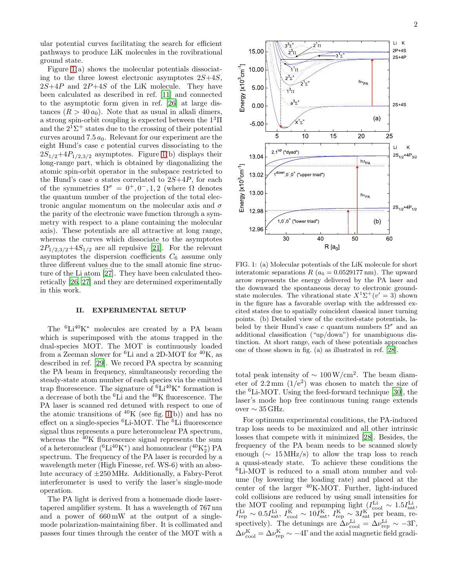ular potential curves facilitating the search for efficient pathways to produce LiK molecules in the rovibrational ground state.

Figure [1\(](#page-1-0)a) shows the molecular potentials dissociating to the three lowest electronic asymptotes  $2S+4S$ ,  $2S+4P$  and  $2P+4S$  of the LiK molecule. They have been calculated as described in ref. [\[11\]](#page-5-10) and connected to the asymptotic form given in ref. [\[26\]](#page-5-24) at large distances  $(R > 40 a_0)$ . Note that as usual in alkali dimers, a strong spin-orbit coupling is expected between the  $1<sup>3</sup>\Pi$ and the  $2^{\bar{1}}\Sigma^{+}$  states due to the crossing of their potential curves around 7.5  $a_0$ . Relevant for our experiment are the eight Hund's case c potential curves dissociating to the  $2S_{1/2}+4P_{1/2,3/2}$  asymptotes. Figure [1\(](#page-1-0)b) displays their long-range part, which is obtained by diagonalizing the atomic spin-orbit operator in the subspace restricted to the Hund's case  $a$  states correlated to  $2S+4P$ , for each of the symmetries  $\Omega^{\sigma} = 0^{+}, 0^{-}, 1, 2$  (where  $\Omega$  denotes the quantum number of the projection of the total electronic angular momentum on the molecular axis and  $\sigma$ the parity of the electronic wave function through a symmetry with respect to a plane containing the molecular axis). These potentials are all attractive at long range, whereas the curves which dissociate to the asymptotes  $2P_{1/2,3/2}+4S_{1/2}$  are all repulsive [\[21](#page-5-20)]. For the relevant asymptotes the dispersion coefficients  $C_6$  assume only three different values due to the small atomic fine structure of the Li atom [\[27\]](#page-5-25). They have been calculated theoretically [\[26,](#page-5-24) [27](#page-5-25)] and they are determined experimentally in this work.

## II. EXPERIMENTAL SETUP

The <sup>6</sup>Li<sup>40</sup>K<sup>∗</sup> molecules are created by a PA beam which is superimposed with the atoms trapped in the dual-species MOT. The MOT is continuously loaded from a Zeeman slower for  ${}^{6}$ Li and a 2D-MOT for  ${}^{40}$ K, as described in ref. [\[29\]](#page-5-26). We record PA spectra by scanning the PA beam in frequency, simultaneously recording the steady-state atom number of each species via the emitted trap fluorescence. The signature of  ${}^{6}Li^{40}K^{*}$  formation is a decrease of both the <sup>6</sup>Li and the <sup>40</sup>K fluorescence. The PA laser is scanned red detuned with respect to one of the atomic transitions of  $^{40}$ K (see fig. [1\(](#page-1-0)b)) and has no effect on a single-species  ${}^{6}$ Li-MOT. The  ${}^{6}$ Li fluorescence signal thus represents a pure heteronuclear PA spectrum, whereas the <sup>40</sup>K fluorescence signal represents the sum of a heteronuclear (<sup>6</sup>Li<sup>40</sup>K<sup>\*</sup>) and homonuclear (<sup>40</sup>K<sup>\*</sup><sub>2</sub>) PA spectrum. The frequency of the PA laser is recorded by a wavelength meter (High Finesse, ref. WS-6) with an absolute accuracy of ±250MHz. Additionally, a Fabry-Perot interferometer is used to verify the laser's single-mode operation.

The PA light is derived from a homemade diode lasertapered amplifier system. It has a wavelength of 767 nm and a power of 660 mW at the output of a singlemode polarization-maintaining fiber. It is collimated and passes four times through the center of the MOT with a



-5.00

12.96

12.98

**Energy** 

 $\frac{\mathsf{S}}{\mathsf{X}}$ 3<br>cm<sup>-1</sup>]

13.00

13.02

<sup>1</sup>

13.04

0.00

5.00

Energy [x10

 $\epsilon^{\rm em}$ 

10.00

15.00

 $\tilde{ }$ 

<span id="page-1-0"></span>FIG. 1: (a) Molecular potentials of the LiK molecule for short interatomic separations R  $(a_0 = 0.0529177 \text{ nm})$ . The upward arrow represents the energy delivered by the PA laser and the downward the spontaneous decay to electronic groundstate molecules. The vibrational state  $X^1\Sigma^+(v'=3)$  shown in the figure has a favorable overlap with the addressed excited states due to spatially coincident classical inner turning points. (b) Detailed view of the excited-state potentials, labeled by their Hund's case c quantum numbers  $\Omega^{\sigma}$  and an additional classification ("up/down") for unambiguous distinction. At short range, each of these potentials approaches one of those shown in fig. (a) as illustrated in ref. [\[28](#page-5-27)].

30 40 50 60

. . . . . . . .  $\tilde{\phantom{a}}$ 

1,0- ,0<sup>+</sup> ("lower triad")

down,0- ,0<sup>+</sup> ("upper triad")

(b)

--1/2 1/2

<sup>h</sup> PA

total peak intensity of  $\sim 100 \,\mathrm{W/cm^2}$ . The beam diameter of  $2.2 \,\mathrm{mm}$   $(1/\mathrm{e}^2)$  was chosen to match the size of the  ${}^{6}$ Li-MOT. Using the feed-forward technique [\[30\]](#page-5-28), the laser's mode hop free continuous tuning range extends over  $\sim 35$  GHz.

For optimum experimental conditions, the PA-induced trap loss needs to be maximized and all other intrinsic losses that compete with it minimized [\[28\]](#page-5-27). Besides, the frequency of the PA beam needs to be scanned slowly enough ( $\sim 15 \text{ MHz/s}$ ) to allow the trap loss to reach a quasi-steady state. To achieve these conditions the <sup>6</sup>Li-MOT is reduced to a small atom number and volume (by lowering the loading rate) and placed at the center of the larger  $^{40}$ K-MOT. Further, light-induced cold collisions are reduced by using small intensities for the MOT cooling and repumping light  $(I_{\text{cool}}^{\text{Li}} \sim 1.5 I_{\text{sat}}^{\text{Li}})$  $I_{\rm rep}^{\rm Li} \sim 0.5 I_{\rm sat}^{\rm Li}, I_{\rm cool}^{\rm K} \sim 10 I_{\rm sat}^{\rm K}, I_{\rm rep}^{\rm K} \sim 3 I_{\rm sat}^{\rm K}$  per beam, respectively). The detunings are  $\Delta \nu_{\rm cool}^{\rm Li} = \Delta \nu_{\rm rep}^{\rm Li} \sim -3\Gamma$ ,  $\Delta \nu_{\rm cool}^{\rm K} = \Delta \nu_{\rm rep}^{\rm K} \sim -4\Gamma$  and the axial magnetic field gradi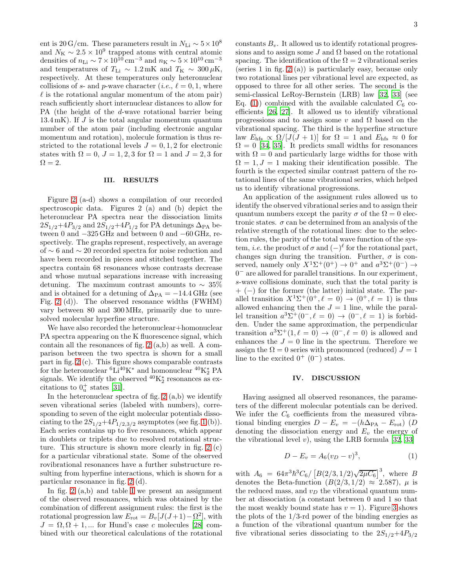ent is 20 G/cm. These parameters result in $N_{\rm Li} \sim 5 \times 10^8$ and  $N_K \sim 2.5 \times 10^9$  trapped atoms with central atomic densities of  $n_{\text{Li}} \sim 7 \times 10^{10} \text{ cm}^{-3}$  and  $n_{\text{K}} \sim 5 \times 10^{10} \text{ cm}^{-3}$ and temperatures of  $T_{\text{Li}} \sim 1.2 \text{ mK}$  and  $T_{\text{K}} \sim 300 \,\mu\text{K}$ , respectively. At these temperatures only heteronuclear collisions of s- and p-wave character (*i.e.*,  $\ell = 0, 1$ , where  $\ell$  is the rotational angular momentum of the atom pair) reach sufficiently short internuclear distances to allow for PA (the height of the d-wave rotational barrier being 13.4 mK). If  $J$  is the total angular momentum quantum number of the atom pair (including electronic angular momentum and rotation), molecule formation is thus restricted to the rotational levels  $J = 0, 1, 2$  for electronic states with  $\Omega = 0$ ,  $J = 1, 2, 3$  for  $\Omega = 1$  and  $J = 2, 3$  for  $\Omega = 2.$ 

# III. RESULTS

Figure [2](#page-3-0) (a-d) shows a compilation of our recorded spectroscopic data. Figures 2 (a) and (b) depict the heteronuclear PA spectra near the dissociation limits  $2S_{1/2}+4P_{3/2}$  and  $2S_{1/2}+4P_{1/2}$  for PA detunings  $\Delta_{\text{PA}}$  between 0 and −325 GHz and between 0 and −60 GHz, respectively. The graphs represent, respectively, an average of ∼ 6 and ∼ 20 recorded spectra for noise reduction and have been recorded in pieces and stitched together. The spectra contain 68 resonances whose contrasts decrease and whose mutual separations increase with increasing detuning. The maximum contrast amounts to  $\sim 35\%$ and is obtained for a detuning of  $\Delta_{\text{PA}} = -14.4 \text{ GHz}$  (see Fig. [2](#page-3-0) (d)). The observed resonance widths (FWHM) vary between 80 and 300 MHz, primarily due to unresolved molecular hyperfine structure.

We have also recorded the heteronuclear+homonuclear PA spectra appearing on the K fluorescence signal, which contain all the resonances of fig. [2](#page-3-0) (a,b) as well. A comparison between the two spectra is shown for a small part in fig. [2](#page-3-0) (c). This figure shows comparable contrasts for the heteronuclear  ${}^{6}Li^{40}K^{*}$  and homonuclear  ${}^{40}K_{2}^{*}$  PA signals. We identify the observed  ${}^{40}\text{K}_2^*$  resonances as excitations to  $0^+_u$  states [\[31\]](#page-5-29).

In the heteronuclear spectra of fig.  $2(a,b)$  we identify seven vibrational series (labeled with numbers), corresponding to seven of the eight molecular potentials dissociating to the  $2S_{1/2}+4P_{1/2,3/2}$  asymptotes (see fig. [1](#page-1-0) (b)). Each series contains up to five resonances, which appear in doublets or triplets due to resolved rotational structure. This structure is shown more clearly in fig. [2](#page-3-0) (c) for a particular vibrational state. Some of the observed rovibrational resonances have a further substructure resulting from hyperfine interactions, which is shown for a particular resonance in fig. [2](#page-3-0) (d).

In fig.  $2(a,b)$  and table [I](#page-4-0) we present an assignment of the observed resonances, which was obtained by the combination of different assignment rules: the first is the rotational progression law  $E_{\text{rot}} = B_v[J(J+1) - \Omega^2]$ , with  $J = \Omega, \Omega + 1, \dots$  for Hund's case c molecules [\[28](#page-5-27)] combined with our theoretical calculations of the rotational constants  $B_v$ . It allowed us to identify rotational progressions and to assign some  $J$  and  $\Omega$  based on the rotational spacing. The identification of the  $\Omega = 2$  vibrational series (series 1 in fig. [2](#page-3-0) (a)) is particularly easy, because only two rotational lines per vibrational level are expected, as opposed to three for all other series. The second is the semi-classical LeRoy-Bernstein (LRB) law [\[32](#page-5-30), [33](#page-5-31)] (see Eq. [\(1\)](#page-2-0)) combined with the available calculated  $C_6$  coefficients [\[26,](#page-5-24) [27\]](#page-5-25). It allowed us to identify vibrational progressions and to assign some v and  $\Omega$  based on the vibrational spacing. The third is the hyperfine structure law  $E_{\text{hfs}} \propto \Omega/[J(J+1)]$  for  $\Omega = 1$  and  $E_{\text{hfs}} \approx 0$  for  $\Omega = 0$  [\[34,](#page-5-32) [35](#page-5-33)]. It predicts small widths for resonances with  $\Omega = 0$  and particularly large widths for those with  $\Omega = 1, J = 1$  making their identification possible. The fourth is the expected similar contrast pattern of the rotational lines of the same vibrational series, which helped us to identify vibrational progressions.

An application of the assignment rules allowed us to identify the observed vibrational series and to assign their quantum numbers except the parity  $\sigma$  of the  $\Omega = 0$  electronic states.  $\sigma$  can be determined from an analysis of the relative strength of the rotational lines: due to the selection rules, the parity of the total wave function of the system, *i.e.* the product of  $\sigma$  and  $(-)^\ell$  for the rotational part, changes sign during the transition. Further,  $\sigma$  is conserved, namely only  $X^1\Sigma^+(0^+) \to 0^+$  and  $a^3\Sigma^+(0^-) \to$ 0 <sup>−</sup> are allowed for parallel transitions. In our experiment, s-wave collisions dominate, such that the total parity is + (−) for the former (the latter) initial state. The parallel transition  $X^1\Sigma^+(0^+, \ell = 0) \to (0^+, \ell = 1)$  is thus allowed enhancing then the  $J = 1$  line, while the parallel transition  $a^3\Sigma^+(0^-,\ell=0) \rightarrow (0^-,\ell=1)$  is forbidden. Under the same approximation, the perpendicular transition  $a^3\Sigma^+(1,\ell=0) \rightarrow (0^-,\ell=0)$  is allowed and enhances the  $J = 0$  line in the spectrum. Therefore we assign the  $\Omega = 0$  series with pronounced (reduced)  $J = 1$ line to the excited  $0^+(0^-)$  states.

## IV. DISCUSSION

Having assigned all observed resonances, the parameters of the different molecular potentials can be derived. We infer the  $C_6$  coefficients from the measured vibrational binding energies  $D - E_v = -(h\Delta_{\text{PA}} - E_{\text{rot}})$  (D denoting the dissociation energy and  $E_v$  the energy of the vibrational level v), using the LRB formula  $[32, 33]$  $[32, 33]$  $[32, 33]$ 

<span id="page-2-0"></span>
$$
D - E_v = A_6 (v_D - v)^3,
$$
 (1)

with  $A_6 = 64\pi^3\hbar^3C_6/[B(2/3, 1/2)\sqrt{2\mu C_6}]^3$ , where B denotes the Beta-function  $(B(2/3, 1/2) \approx 2.587)$ ,  $\mu$  is the reduced mass, and  $v_D$  the vibrational quantum number at dissociation (a constant between 0 and 1 so that the most weakly bound state has  $v = 1$ ). Figure [3](#page-3-1) shows the plots of the  $1/3$ -rd power of the binding energies as a function of the vibrational quantum number for the five vibrational series dissociating to the  $2S_{1/2}+4P_{3/2}$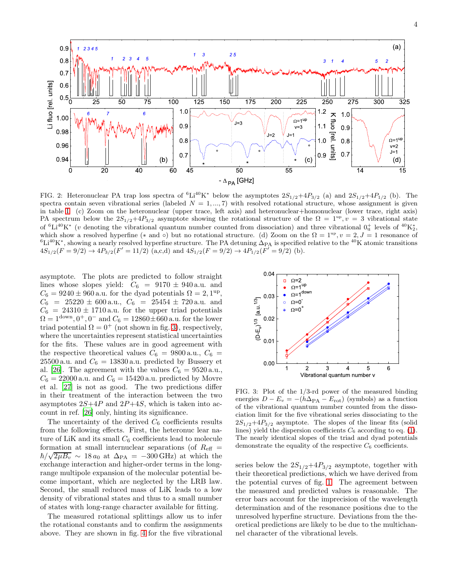

<span id="page-3-0"></span>FIG. 2: Heteronuclear PA trap loss spectra of  ${}^{6}Li^{40}K^{*}$  below the asymptotes  $2S_{1/2}+4P_{3/2}$  (a) and  $2S_{1/2}+4P_{1/2}$  (b). The spectra contain seven vibrational series (labeled  $N = 1, ..., 7$ ) with resolved rotational structure, whose assignment is given in table [I.](#page-4-0) (c) Zoom on the heteronuclear (upper trace, left axis) and heteronuclear+homonuclear (lower trace, right axis) PA spectrum below the  $2S_{1/2}+4P_{3/2}$  asymptote showing the rotational structure of the  $\Omega = 1^{up}$ ,  $v = 3$  vibrational state of  ${}^{6}Li^{40}K^{*}$  (v denoting the vibrational quantum number counted from dissociation) and three vibrational  $0_{u}^{+}$  levels of  ${}^{40}K_{2}^{*}$ , which show a resolved hyperfine (\* and ∘) but no rotational structure. (d) Zoom on the  $\Omega = 1^{\text{up}}$ ,  $v = 2$ ,  $J = 1$  resonance of  ${}^{6}Li^{40}K^{*}$ , showing a nearly resolved hyperfine structure. The PA detuning  $\Delta_{\text{PA}}$  is specified relative to the  ${}^{40}K$  atomic transitions  $4S_{1/2}(F=9/2) \rightarrow 4P_{3/2}(F'=11/2)$  (a,c,d) and  $4S_{1/2}(F=9/2) \rightarrow 4P_{1/2}(F'=9/2)$  (b).

asymptote. The plots are predicted to follow straight lines whose slopes yield:  $C_6 = 9170 \pm 940$  a.u. and  $C_6 = 9240 \pm 960$  a.u. for the dyad potentials  $\Omega = 2, 1^{\text{up}}$ ,  $C_6$  = 25220 ± 600 a.u.,  $C_6$  = 25454 ± 720 a.u. and  $C_6 = 24310 \pm 1710$  a.u. for the upper triad potentials  $\Omega = 1^{\text{down}}, 0^+, 0^-$  and  $C_6 = 12860 \pm 660$  a.u. for the lower triad potential  $\Omega = 0^+$  (not shown in fig. [3\)](#page-3-1), respectively, where the uncertainties represent statistical uncertainties for the fits. These values are in good agreement with the respective theoretical values  $C_6 = 9800$  a.u.,  $C_6 =$ 25500 a.u. and  $C_6 = 13830$  a.u. predicted by Bussery et al. [\[26\]](#page-5-24). The agreement with the values  $C_6 = 9520 \,\mathrm{a.u.}$ ,  $C_6 = 22000$  a.u. and  $C_6 = 15420$  a.u. predicted by Movre et al. [\[27\]](#page-5-25) is not as good. The two predictions differ in their treatment of the interaction between the two asymptotes  $2S+4P$  and  $2P+4S$ , which is taken into account in ref. [\[26](#page-5-24)] only, hinting its significance.

The uncertainty of the derived  $C_6$  coefficients results from the following effects. First, the heteronuc lear nature of LiK and its small  $C_6$  coefficients lead to molecule formation at small internuclear separations (of  $R_{\text{eff}} =$  $\hbar/\sqrt{2\mu B_v} \sim 18 a_0$  at  $\Delta_{\text{PA}} = -300 \text{ GHz}$  at which the exchange interaction and higher-order terms in the longrange multipole expansion of the molecular potential become important, which are neglected by the LRB law. Second, the small reduced mass of LiK leads to a low density of vibrational states and thus to a small number of states with long-range character available for fitting.

The measured rotational splittings allow us to infer the rotational constants and to confirm the assignments above. They are shown in fig. [4](#page-4-1) for the five vibrational



<span id="page-3-1"></span>FIG. 3: Plot of the 1/3-rd power of the measured binding energies  $D - E_v = -(h\Delta_{\text{PA}} - E_{\text{rot}})$  (symbols) as a function of the vibrational quantum number counted from the dissociation limit for the five vibrational series dissociating to the  $2S_{1/2}+4P_{3/2}$  asymptote. The slopes of the linear fits (solid lines) yield the dispersion coefficients  $C_6$  according to eq. [\(1\)](#page-2-0). The nearly identical slopes of the triad and dyad potentials demonstrate the equality of the respective  $C_6$  coefficients.

series below the  $2S_{1/2}+4P_{3/2}$  asymptote, together with their theoretical predictions, which we have derived from the potential curves of fig. [1.](#page-1-0) The agreement between the measured and predicted values is reasonable. The error bars account for the imprecision of the wavelength determination and of the resonance positions due to the unresolved hyperfine structure. Deviations from the theoretical predictions are likely to be due to the multichannel character of the vibrational levels.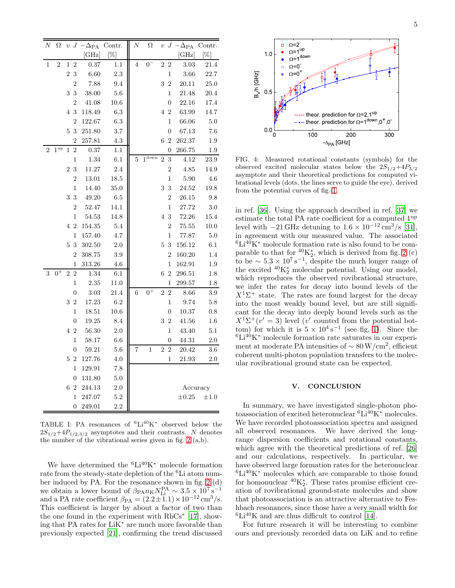| Ν            | Ω               | $\upsilon$     |                  | $J - \Delta_{\text{PA}}$ | Contr.     | $\overline{N}$ | $\Omega$          |                |                  | $v \, J \, -\Delta_{\rm PA}$ | Contr.    |
|--------------|-----------------|----------------|------------------|--------------------------|------------|----------------|-------------------|----------------|------------------|------------------------------|-----------|
|              |                 |                |                  | [GHz]                    | $[\%]$     |                |                   |                |                  | $[\rm{GHz}]$                 | $[\%]$    |
| $\mathbf{1}$ | $\overline{2}$  | 1              | $\overline{2}$   | 0.37                     | 1.1        | 4              | $0-$              | 2 2            |                  | $3.03\,$                     | 21.4      |
|              |                 | $\overline{2}$ | $\sqrt{3}$       | $6.60\,$                 | 2.3        |                |                   |                | $\mathbf{1}$     | $3.66\,$                     | 22.7      |
|              |                 |                | $\overline{2}$   | 7.88                     | 9.4        |                |                   | 3              | $\overline{2}$   | 20.11                        | 25.0      |
|              |                 | 3              | 3                | 38.00                    | $5.6\,$    |                |                   |                | $\mathbf{1}$     | 21.48                        | 20.4      |
|              |                 |                | $\overline{2}$   | 41.08                    | $10.6\,$   |                |                   |                | $\overline{0}$   | 22.16                        | 17.4      |
|              |                 |                | 4 3              | 118.49                   | $6.3\,$    |                |                   |                | $4\mspace{3mu}2$ | 63.99                        | 14.7      |
|              |                 |                | $\overline{2}$   | 122.67                   | $6.3\,$    |                |                   |                | 1                | 66.06                        | 5.0       |
|              |                 | 5              | 3                | $251.80\,$               | 3.7        |                |                   |                | $\boldsymbol{0}$ | 67.13                        | 7.6       |
|              |                 |                | $\overline{2}$   | 257.81                   | 4.3        |                |                   | 6              | $\overline{2}$   | 262.37                       | $1.9\,$   |
| 2            | $1^{\text{up}}$ | 1              | $\overline{2}$   | 0.37                     | 1.1        |                |                   |                | $\overline{0}$   | 266.75                       | $1.9\,$   |
|              |                 |                | $\,1$            | 1.34                     | 6.1        | 5              | $1^{\text{down}}$ | $\overline{2}$ | $\sqrt{3}$       | 4.12                         | $23.9\,$  |
|              |                 |                | 23               | $11.27\,$                | 2.4        |                |                   |                | $\overline{2}$   | 4.85                         | 14.9      |
|              |                 |                | $\overline{2}$   | 13.01                    | $18.5\,$   |                |                   |                | $\mathbf{1}$     | $5.90\,$                     | $4.6\,$   |
|              |                 |                | $\mathbf 1$      | 14.40                    | $35.0\,$   |                |                   | 3              | $\sqrt{3}$       | 24.52                        | 19.8      |
|              |                 | 3              | 3                | 49.20                    | $6.5\,$    |                |                   |                | $\overline{2}$   | 26.15                        | 9.8       |
|              |                 |                | $\overline{2}$   | 52.47                    | 14.1       |                |                   |                | 1                | 27.72                        | 3.0       |
|              |                 |                | 1                | $54.53\,$                | 14.8       |                |                   |                | 4 3              | 72.26                        | 15.4      |
|              |                 | $\overline{4}$ | $\overline{2}$   | 154.35                   | 5.4        |                |                   |                | $\overline{2}$   | 75.55                        | 10.0      |
|              |                 |                | $\mathbf 1$      | 157.40                   | 4.7        |                |                   |                | $\mathbf 1$      | 77.87                        | 5.0       |
|              |                 | 5              | 3                | 302.50                   | 2.0        |                |                   | 5              | 3                | 156.12                       | 6.1       |
|              |                 |                | $\overline{2}$   | 308.75                   | $3.9\,$    |                |                   |                | $\overline{2}$   | 160.20                       | 1.4       |
|              |                 |                | 1                | 313.26                   | $4.6\,$    |                |                   |                | $\mathbf{1}$     | 162.91                       | $1.9\,$   |
| 3            | $0^+$           | $\overline{2}$ | $\overline{2}$   | 1.34                     | $6.1\,$    |                |                   | $\sqrt{6}$     | $\overline{2}$   | 296.51                       | 1.8       |
|              |                 |                | $\mathbf 1$      | $2.35\,$                 | 11.0       |                |                   |                | $\,1$            | 299.57                       | $1.8\,$   |
|              |                 |                | 0                | $3.03\,$                 | 21.4       | 6              | $0^+$             | $\overline{2}$ | $\sqrt{2}$       | $8.66\,$                     | 3.9       |
|              |                 |                | $3\,2$           | 17.23                    | 6.2        |                |                   |                | 1                | 9.74                         | $5.8\,$   |
|              |                 |                | 1                | 18.51                    | $10.6\,$   |                |                   |                | 0                | 10.37                        | $0.8\,$   |
|              |                 |                | 0                | 19.25                    | 8.4        |                |                   | 3              | $\overline{2}$   | $41.56\,$                    | $1.6\,$   |
|              |                 |                | 4 2              | 56.30                    | $2.0\,$    |                |                   |                | $\mathbf{1}$     | 43.40                        | 5.1       |
|              |                 |                | $\mathbf 1$      | 58.17                    | $6.6\,$    |                |                   |                | $\overline{0}$   | 44.31                        | 2.0       |
|              |                 |                | $\overline{0}$   | 59.21                    | $5.6\,$    | 7              | $\overline{1}$    | $\overline{2}$ | $\overline{2}$   | 20.42                        | $3.6\,$   |
|              |                 | 5              | $\overline{2}$   | 127.76                   | $4.0\,$    |                |                   |                | 1                | 21.93                        | $2.0\,$   |
|              |                 |                | 1                | 129.91                   | 7.8        |                |                   |                |                  |                              |           |
|              |                 |                | $\boldsymbol{0}$ | 131.80                   | 5.0        |                |                   |                |                  |                              |           |
|              |                 |                | 6 2              | 244.13                   | <b>2.0</b> |                |                   |                |                  | Accuracy                     |           |
|              |                 |                | $\mathbf 1$      | 247.07                   | 5.2        |                |                   |                |                  | $\pm 0.25$                   | $\pm 1.0$ |
|              |                 |                | 0                | 249.01                   | 2.2        |                |                   |                |                  |                              |           |

<span id="page-4-0"></span>TABLE I: PA resonances of  ${}^{6}Li^{40}K^{*}$  observed below the  $2S_{1/2}+4P_{1/2,3/2}$  asymptotes and their contrasts. N denotes the number of the vibrational series given in fig. [2](#page-3-0) (a,b).

We have determined the  ${}^{6}Li^{40}K^{*}$  molecule formation rate from the steady-state depletion of the <sup>6</sup>Li atom number induced by PA. For the resonance shown in fig. [2](#page-3-0) (d) we obtain a lower bound of  $\beta_{\rm PA} N_{\rm Li}^{\rm PA} \sim 3.5 \times 10^7 s^{-1}$ and a PA rate coefficient  $\beta_{\text{PA}} = (2.2 \pm 1.1) \times 10^{-12} \text{ cm}^3 \text{/s}.$ This coefficient is larger by about a factor of two than the one found in the experiment with RbCs<sup>∗</sup> [\[17\]](#page-5-16), showing that PA rates for LiK<sup>∗</sup> are much more favorable than previously expected [\[21](#page-5-20)], confirming the trend discussed



<span id="page-4-1"></span>FIG. 4: Measured rotational constants (symbols) for the observed excited molecular states below the  $2S_{1/2}+4P_{3/2}$ asymptote and their theoretical predictions for computed vibrational levels (dots, the lines serve to guide the eye), derived from the potential curves of fig. [1.](#page-1-0)

in ref. [\[36](#page-5-34)]. Using the approach described in ref. [\[37\]](#page-5-35) we estimate the total PA rate coefficient for a computed  $1<sup>up</sup>$ level with  $-21 \text{ GHz}$  detuning to  $1.6 \times 10^{-12} \text{ cm}^3/\text{s}$  [\[31\]](#page-5-29), in agreement with our measured value. The associated  ${}^{6}Li^{40}K^{*}$  molecule formation rate is also found to be comparable to that for  ${}^{40}\text{K}_2^*$ , which is derived from fig. [2](#page-3-0) (c) to be  $\sim 5.3 \times 10^7 \text{ s}^{-1}$ , despite the much longer range of the excited  $^{40}K_2^*$  molecular potential. Using our model, which reproduces the observed rovibrational structure, we infer the rates for decay into bound levels of the  $X<sup>1</sup>\Sigma$ <sup>+</sup> state. The rates are found largest for the decay into the most weakly bound level, but are still significant for the decay into deeply bound levels such as the  $X^1\Sigma^+(v'=3)$  level (v' counted from the potential bottom) for which it is  $5 \times 10^4 \text{ s}^{-1}$  (see fig. [1\)](#page-1-0). Since the  ${}^{6}Li^{40}K^{*}$  molecule formation rate saturates in our experiment at moderate PA intensities of  $\sim 80 \,\mathrm{W/cm^2}$ , efficient coherent multi-photon population transfers to the molecular rovibrational ground state can be expected.

## V. CONCLUSION

In summary, we have investigated single-photon photoassociation of excited heteronuclear <sup>6</sup>Li<sup>40</sup>K<sup>∗</sup> molecules. We have recorded photoassociation spectra and assigned all observed resonances. We have derived the longrange dispersion coefficients and rotational constants, which agree with the theoretical predictions of ref. [\[26](#page-5-24)] and our calculations, respectively. In particular, we have observed large formation rates for the heteronuclear  ${}^{6}Li^{40}K^{*}$  molecules which are comparable to those found for homonuclear  ${}^{40}\text{K}_2^*$ . These rates promise efficient creation of rovibrational ground-state molecules and show that photoassociation is an attractive alternative to Feshbach resonances, since those have a very small width for  ${}^{6}Li^{40}K$  and are thus difficult to control [\[14\]](#page-5-13).

For future research it will be interesting to combine ours and previously recorded data on LiK and to refine